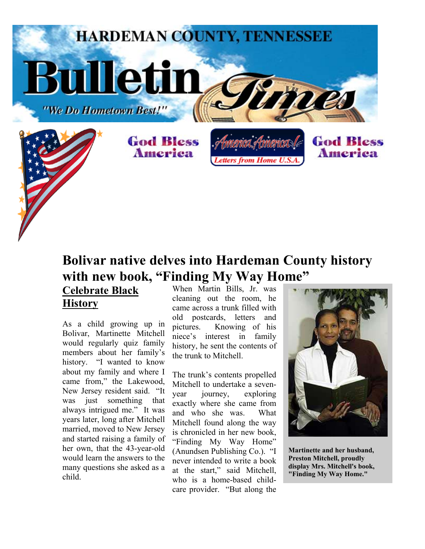

## **Bolivar native delves into Hardeman County history with new book, "Finding My Way Home"**

**Celebrate Black History**

As a child growing up in Bolivar, Martinette Mitchell would regularly quiz family members about her family's history. "I wanted to know about my family and where I came from," the Lakewood, New Jersey resident said. "It was just something that always intrigued me." It was years later, long after Mitchell married, moved to New Jersey and started raising a family of her own, that the 43-year-old would learn the answers to the many questions she asked as a child.

When Martin Bills, Jr. was cleaning out the room, he came across a trunk filled with old postcards, letters and pictures. Knowing of his niece's interest in family history, he sent the contents of the trunk to Mitchell.

The trunk's contents propelled Mitchell to undertake a sevenyear journey, exploring exactly where she came from and who she was. What Mitchell found along the way is chronicled in her new book, "Finding My Way Home" (Anundsen Publishing Co.). "I never intended to write a book at the start," said Mitchell, who is a home-based childcare provider. "But along the



**Martinette and her husband, Preston Mitchell, proudly display Mrs. Mitchell's book, "Finding My Way Home."**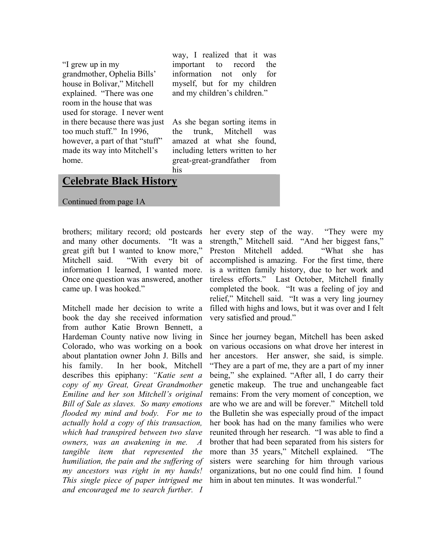"I grew up in my grandmother, Ophelia Bills' house in Bolivar," Mitchell explained. "There was one room in the house that was used for storage. I never went in there because there was just too much stuff." In 1996, however, a part of that "stuff" made its way into Mitchell's home.

way, I realized that it was important to record the information not only for myself, but for my children and my children's children."

As she began sorting items in the trunk, Mitchell was amazed at what she found, including letters written to her great-great-grandfather from his

## **Celebrate Black History**

Continued from page 1A

brothers; military record; old postcards and many other documents. "It was a great gift but I wanted to know more," Mitchell said. "With every bit of information I learned, I wanted more. Once one question was answered, another came up. I was hooked."

Mitchell made her decision to write a book the day she received information from author Katie Brown Bennett, a Hardeman County native now living in Colorado, who was working on a book about plantation owner John J. Bills and his family. In her book, Mitchell describes this epiphany: *"Katie sent a copy of my Great, Great Grandmother Emiline and her son Mitchell's original Bill of Sale as slaves. So many emotions flooded my mind and body. For me to actually hold a copy of this transaction, which had transpired between two slave owners, was an awakening in me. A tangible item that represented the humiliation, the pain and the suffering of my ancestors was right in my hands! This single piece of paper intrigued me and encouraged me to search further. I* 

her every step of the way. "They were my strength," Mitchell said. "And her biggest fans," Preston Mitchell added. "What she has accomplished is amazing. For the first time, there is a written family history, due to her work and tireless efforts." Last October, Mitchell finally completed the book. "It was a feeling of joy and relief," Mitchell said. "It was a very ling journey filled with highs and lows, but it was over and I felt very satisfied and proud."

Since her journey began, Mitchell has been asked on various occasions on what drove her interest in her ancestors. Her answer, she said, is simple. "They are a part of me, they are a part of my inner being," she explained. "After all, I do carry their genetic makeup. The true and unchangeable fact remains: From the very moment of conception, we are who we are and will be forever." Mitchell told the Bulletin she was especially proud of the impact her book has had on the many families who were reunited through her research. "I was able to find a brother that had been separated from his sisters for more than 35 years," Mitchell explained. "The sisters were searching for him through various organizations, but no one could find him. I found him in about ten minutes. It was wonderful."